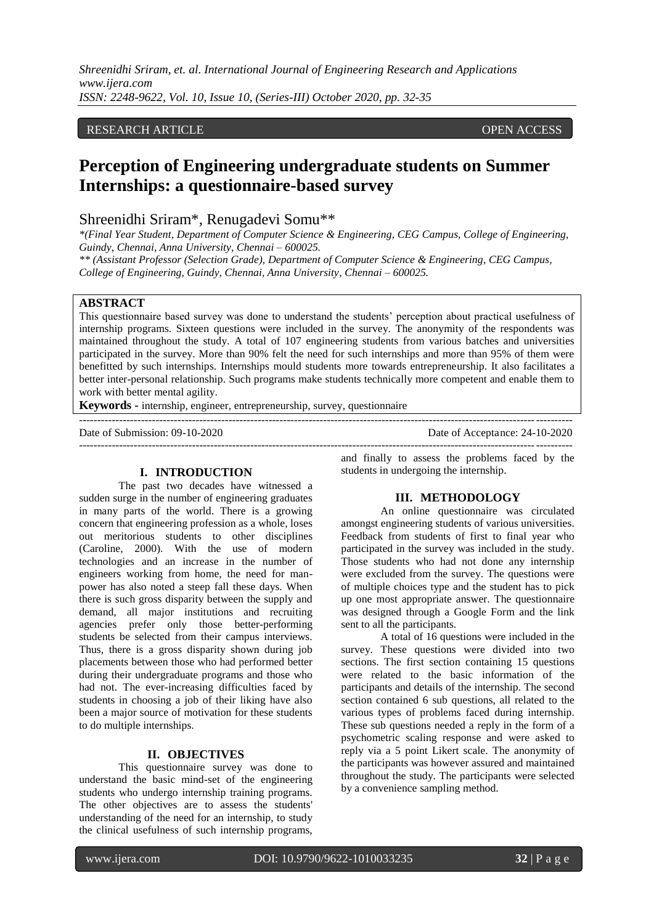*Shreenidhi Sriram, et. al. International Journal of Engineering Research and Applications www.ijera.com ISSN: 2248-9622, Vol. 10, Issue 10, (Series-III) October 2020, pp. 32-35*

# RESEARCH ARTICLE **ARTICLE** AND **CONSERVANCESS** OPEN ACCESS OPEN ACCESS OPEN ACCESS OPEN ACCESS OF A SAMPLE OF A SAMPLE OF A SAMPLE OF A SAMPLE OF A SAMPLE OF A SAMPLE OF A SAMPLE OF A SAMPLE OF A SAMPLE OF A SAMPLE OF A SA

# **Perception of Engineering undergraduate students on Summer Internships: a questionnaire-based survey**

# Shreenidhi Sriram\*, Renugadevi Somu\*\*

*\*(Final Year Student, Department of Computer Science & Engineering, CEG Campus, College of Engineering, Guindy, Chennai, Anna University, Chennai – 600025.*

*\*\* (Assistant Professor (Selection Grade), Department of Computer Science & Engineering, CEG Campus, College of Engineering, Guindy, Chennai, Anna University, Chennai – 600025.*

# **ABSTRACT**

This questionnaire based survey was done to understand the students" perception about practical usefulness of internship programs. Sixteen questions were included in the survey. The anonymity of the respondents was maintained throughout the study. A total of 107 engineering students from various batches and universities participated in the survey. More than 90% felt the need for such internships and more than 95% of them were benefitted by such internships. Internships mould students more towards entrepreneurship. It also facilitates a better inter-personal relationship. Such programs make students technically more competent and enable them to work with better mental agility.

**Keywords -** internship, engineer, entrepreneurship, survey, questionnaire

---------------------------------------------------------------------------------------------------------------------------------------

Date of Acceptance: 24-10-2020

#### **I. INTRODUCTION**

The past two decades have witnessed a sudden surge in the number of engineering graduates in many parts of the world. There is a growing concern that engineering profession as a whole, loses out meritorious students to other disciplines (Caroline, 2000). With the use of modern technologies and an increase in the number of engineers working from home, the need for manpower has also noted a steep fall these days. When there is such gross disparity between the supply and demand, all major institutions and recruiting agencies prefer only those better-performing students be selected from their campus interviews. Thus, there is a gross disparity shown during job placements between those who had performed better during their undergraduate programs and those who had not. The ever-increasing difficulties faced by students in choosing a job of their liking have also been a major source of motivation for these students to do multiple internships.

# **II. OBJECTIVES**

This questionnaire survey was done to understand the basic mind-set of the engineering students who undergo internship training programs. The other objectives are to assess the students' understanding of the need for an internship, to study the clinical usefulness of such internship programs,

and finally to assess the problems faced by the students in undergoing the internship.

 $-1\leq i\leq n-1$ 

#### **III. METHODOLOGY**

An online questionnaire was circulated amongst engineering students of various universities. Feedback from students of first to final year who participated in the survey was included in the study. Those students who had not done any internship were excluded from the survey. The questions were of multiple choices type and the student has to pick up one most appropriate answer. The questionnaire was designed through a Google Form and the link sent to all the participants.

A total of 16 questions were included in the survey. These questions were divided into two sections. The first section containing 15 questions were related to the basic information of the participants and details of the internship. The second section contained 6 sub questions, all related to the various types of problems faced during internship. These sub questions needed a reply in the form of a psychometric scaling response and were asked to reply via a 5 point Likert scale. The anonymity of the participants was however assured and maintained throughout the study. The participants were selected by a convenience sampling method.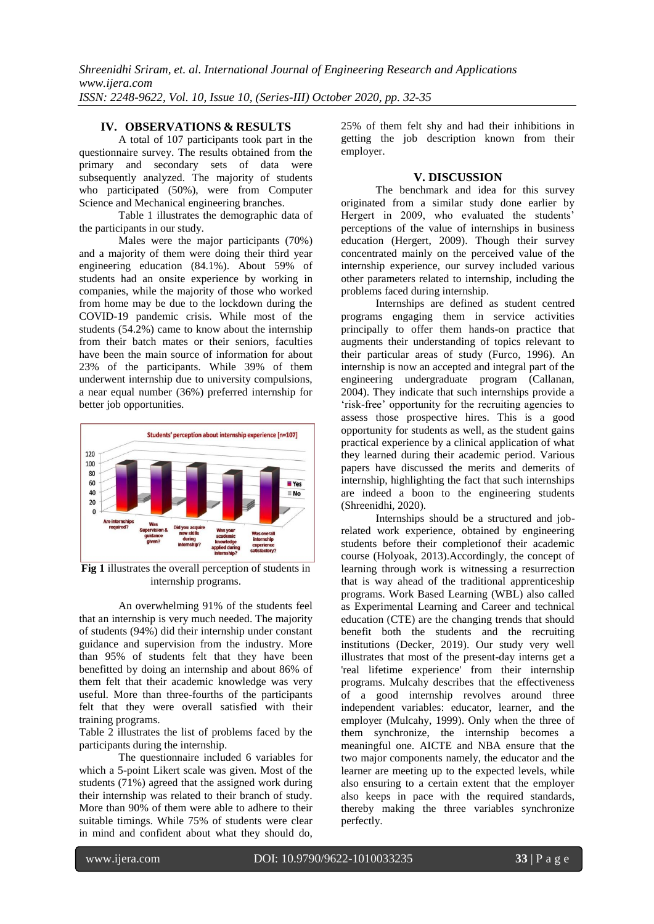# **IV. OBSERVATIONS & RESULTS**

A total of 107 participants took part in the questionnaire survey. The results obtained from the primary and secondary sets of data were subsequently analyzed. The majority of students who participated (50%), were from Computer Science and Mechanical engineering branches.

Table 1 illustrates the demographic data of the participants in our study.

Males were the major participants (70%) and a majority of them were doing their third year engineering education (84.1%). About 59% of students had an onsite experience by working in companies, while the majority of those who worked from home may be due to the lockdown during the COVID-19 pandemic crisis. While most of the students (54.2%) came to know about the internship from their batch mates or their seniors, faculties have been the main source of information for about 23% of the participants. While 39% of them underwent internship due to university compulsions, a near equal number (36%) preferred internship for better job opportunities.



**Fig 1** illustrates the overall perception of students in internship programs.

An overwhelming 91% of the students feel that an internship is very much needed. The majority of students (94%) did their internship under constant guidance and supervision from the industry. More than 95% of students felt that they have been benefitted by doing an internship and about 86% of them felt that their academic knowledge was very useful. More than three-fourths of the participants felt that they were overall satisfied with their training programs.

Table 2 illustrates the list of problems faced by the participants during the internship.

The questionnaire included 6 variables for which a 5-point Likert scale was given. Most of the students (71%) agreed that the assigned work during their internship was related to their branch of study. More than 90% of them were able to adhere to their suitable timings. While 75% of students were clear in mind and confident about what they should do,

25% of them felt shy and had their inhibitions in getting the job description known from their employer.

# **V. DISCUSSION**

The benchmark and idea for this survey originated from a similar study done earlier by Hergert in 2009, who evaluated the students' perceptions of the value of internships in business education (Hergert, 2009). Though their survey concentrated mainly on the perceived value of the internship experience, our survey included various other parameters related to internship, including the problems faced during internship.

Internships are defined as student centred programs engaging them in service activities principally to offer them hands-on practice that augments their understanding of topics relevant to their particular areas of study (Furco, 1996). An internship is now an accepted and integral part of the engineering undergraduate program (Callanan, 2004). They indicate that such internships provide a 'risk-free' opportunity for the recruiting agencies to assess those prospective hires. This is a good opportunity for students as well, as the student gains practical experience by a clinical application of what they learned during their academic period. Various papers have discussed the merits and demerits of internship, highlighting the fact that such internships are indeed a boon to the engineering students (Shreenidhi, 2020).

Internships should be a structured and jobrelated work experience, obtained by engineering students before their completionof their academic course (Holyoak, 2013).Accordingly, the concept of learning through work is witnessing a resurrection that is way ahead of the traditional apprenticeship programs. Work Based Learning (WBL) also called as Experimental Learning and Career and technical education (CTE) are the changing trends that should benefit both the students and the recruiting institutions (Decker, 2019). Our study very well illustrates that most of the present-day interns get a 'real lifetime experience' from their internship programs. Mulcahy describes that the effectiveness of a good internship revolves around three independent variables: educator, learner, and the employer (Mulcahy, 1999). Only when the three of them synchronize, the internship becomes a meaningful one. AICTE and NBA ensure that the two major components namely, the educator and the learner are meeting up to the expected levels, while also ensuring to a certain extent that the employer also keeps in pace with the required standards, thereby making the three variables synchronize perfectly.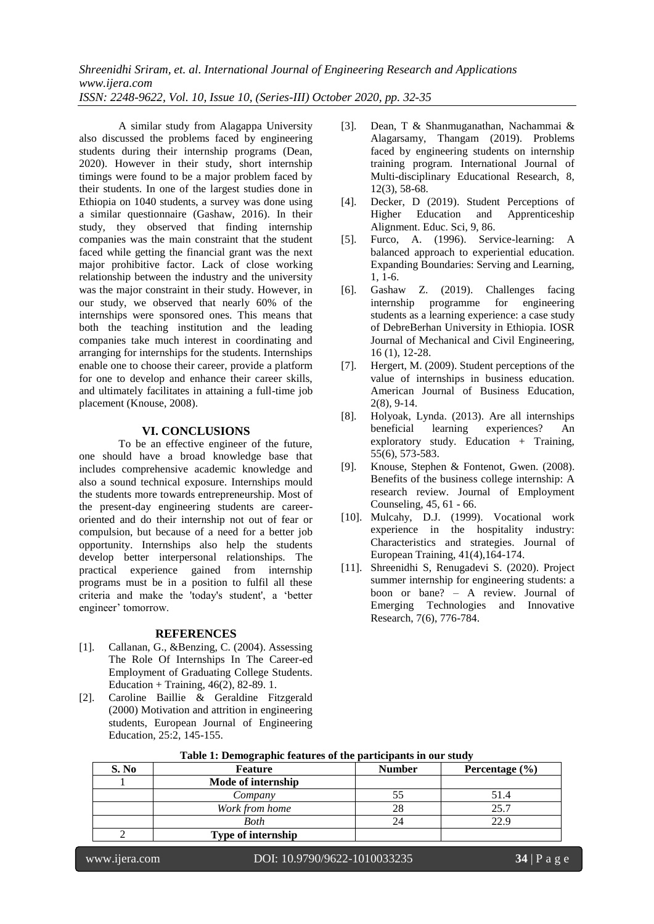*Shreenidhi Sriram, et. al. International Journal of Engineering Research and Applications www.ijera.com ISSN: 2248-9622, Vol. 10, Issue 10, (Series-III) October 2020, pp. 32-35*

A similar study from Alagappa University also discussed the problems faced by engineering students during their internship programs (Dean, 2020). However in their study, short internship timings were found to be a major problem faced by their students. In one of the largest studies done in Ethiopia on 1040 students, a survey was done using a similar questionnaire (Gashaw, 2016). In their study, they observed that finding internship companies was the main constraint that the student faced while getting the financial grant was the next major prohibitive factor. Lack of close working relationship between the industry and the university was the major constraint in their study. However, in our study, we observed that nearly 60% of the internships were sponsored ones. This means that both the teaching institution and the leading companies take much interest in coordinating and arranging for internships for the students. Internships enable one to choose their career, provide a platform for one to develop and enhance their career skills, and ultimately facilitates in attaining a full-time job placement (Knouse, 2008).

#### **VI. CONCLUSIONS**

To be an effective engineer of the future, one should have a broad knowledge base that includes comprehensive academic knowledge and also a sound technical exposure. Internships mould the students more towards entrepreneurship. Most of the present-day engineering students are careeroriented and do their internship not out of fear or compulsion, but because of a need for a better job opportunity. Internships also help the students develop better interpersonal relationships. The practical experience gained from internship programs must be in a position to fulfil all these criteria and make the 'today's student', a "better engineer' tomorrow.

#### **REFERENCES**

- [1]. Callanan, G., &Benzing, C. (2004). Assessing The Role Of Internships In The Career-ed Employment of Graduating College Students. Education + Training, 46(2), 82-89. 1.
- [2]. Caroline Baillie & Geraldine Fitzgerald (2000) Motivation and attrition in engineering students, European Journal of Engineering Education, 25:2, 145-155.
- [3]. Dean, T & Shanmuganathan, Nachammai & Alagarsamy, Thangam (2019). Problems faced by engineering students on internship training program. International Journal of Multi-disciplinary Educational Research, 8, 12(3), 58-68.
- [4]. Decker, D (2019). Student Perceptions of Higher Education and Apprenticeship Alignment. Educ. Sci, 9, 86.
- [5]. Furco, A. (1996). Service-learning: A balanced approach to experiential education. Expanding Boundaries: Serving and Learning, 1, 1-6.
- [6]. Gashaw Z. (2019). Challenges facing internship programme for engineering students as a learning experience: a case study of DebreBerhan University in Ethiopia. IOSR Journal of Mechanical and Civil Engineering, 16 (1), 12-28.
- [7]. Hergert, M. (2009). Student perceptions of the value of internships in business education. American Journal of Business Education, 2(8), 9-14.
- [8]. Holyoak, Lynda. (2013). Are all internships beneficial learning experiences? An exploratory study. Education  $+$  Training, 55(6), 573-583.
- [9]. Knouse, Stephen & Fontenot, Gwen. (2008). Benefits of the business college internship: A research review. Journal of Employment Counseling, 45, 61 - 66.
- [10]. Mulcahy, D.J. (1999). Vocational work experience in the hospitality industry: Characteristics and strategies. Journal of European Training, 41(4),164-174.
- [11]. Shreenidhi S, Renugadevi S. (2020). Project summer internship for engineering students: a boon or bane? – A review. Journal of Emerging Technologies and Innovative Research, 7(6), 776-784.

| S. No | Feature            | <b>Number</b> | Percentage $(\% )$ |
|-------|--------------------|---------------|--------------------|
|       | Mode of internship |               |                    |
|       | Company            |               | 51.4               |
|       | Work from home     | 28            | 25.7               |
|       | Both               | 24            | 22.9               |
|       | Type of internship |               |                    |

**Table 1: Demographic features of the participants in our study**